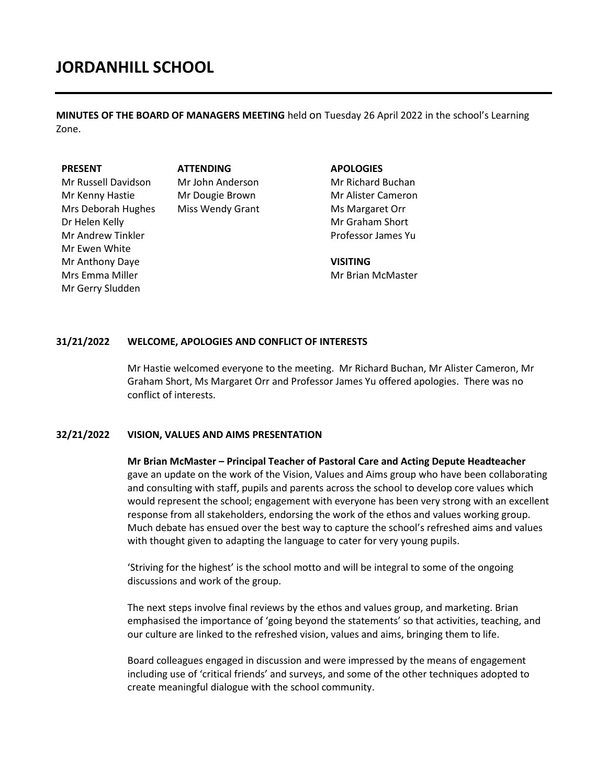**MINUTES OF THE BOARD OF MANAGERS MEETING** held on Tuesday 26 April 2022 in the school's Learning Zone.

#### **PRESENT**

Mr Russell Davidson Mr Kenny Hastie Mrs Deborah Hughes Dr Helen Kelly Mr Andrew Tinkler Mr Ewen White Mr Anthony Daye Mrs Emma Miller Mr Gerry Sludden

 **ATTENDING** Mr John Anderson Mr Dougie Brown Miss Wendy Grant

#### **APOLOGIES**

Mr Richard Buchan Mr Alister Cameron Ms Margaret Orr Mr Graham Short Professor James Yu

**VISITING** Mr Brian McMaster

## **31/21/2022 WELCOME, APOLOGIES AND CONFLICT OF INTERESTS**

Mr Hastie welcomed everyone to the meeting. Mr Richard Buchan, Mr Alister Cameron, Mr Graham Short, Ms Margaret Orr and Professor James Yu offered apologies. There was no conflict of interests.

## **32/21/2022 VISION, VALUES AND AIMS PRESENTATION**

**Mr Brian McMaster – Principal Teacher of Pastoral Care and Acting Depute Headteacher**  gave an update on the work of the Vision, Values and Aims group who have been collaborating and consulting with staff, pupils and parents across the school to develop core values which would represent the school; engagement with everyone has been very strong with an excellent response from all stakeholders, endorsing the work of the ethos and values working group. Much debate has ensued over the best way to capture the school's refreshed aims and values with thought given to adapting the language to cater for very young pupils.

'Striving for the highest' is the school motto and will be integral to some of the ongoing discussions and work of the group.

The next steps involve final reviews by the ethos and values group, and marketing. Brian emphasised the importance of 'going beyond the statements' so that activities, teaching, and our culture are linked to the refreshed vision, values and aims, bringing them to life.

Board colleagues engaged in discussion and were impressed by the means of engagement including use of 'critical friends' and surveys, and some of the other techniques adopted to create meaningful dialogue with the school community.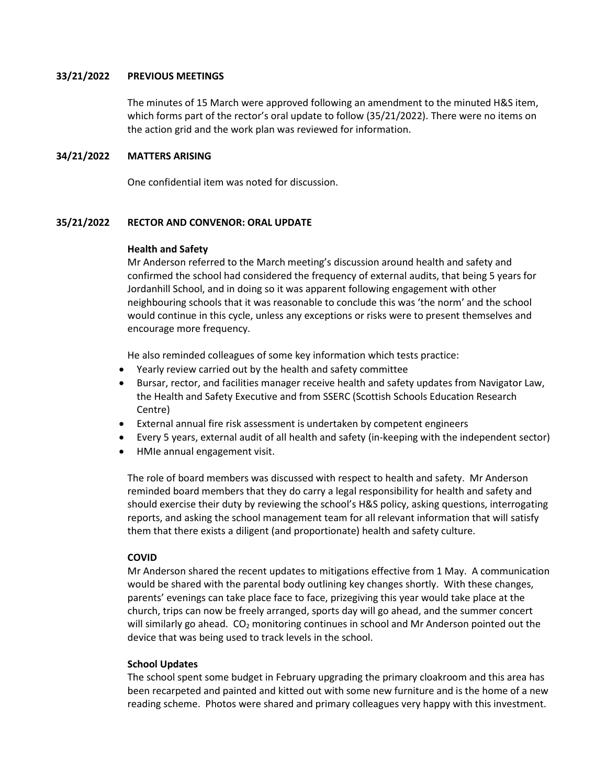# **33/21/2022 PREVIOUS MEETINGS**

The minutes of 15 March were approved following an amendment to the minuted H&S item, which forms part of the rector's oral update to follow (35/21/2022). There were no items on the action grid and the work plan was reviewed for information.

# **34/21/2022 MATTERS ARISING**

One confidential item was noted for discussion.

# **35/21/2022 RECTOR AND CONVENOR: ORAL UPDATE**

## **Health and Safety**

Mr Anderson referred to the March meeting's discussion around health and safety and confirmed the school had considered the frequency of external audits, that being 5 years for Jordanhill School, and in doing so it was apparent following engagement with other neighbouring schools that it was reasonable to conclude this was 'the norm' and the school would continue in this cycle, unless any exceptions or risks were to present themselves and encourage more frequency.

He also reminded colleagues of some key information which tests practice:

- Yearly review carried out by the health and safety committee
- Bursar, rector, and facilities manager receive health and safety updates from Navigator Law, the Health and Safety Executive and from SSERC (Scottish Schools Education Research Centre)
- External annual fire risk assessment is undertaken by competent engineers
- Every 5 years, external audit of all health and safety (in-keeping with the independent sector)
- HMIe annual engagement visit.

The role of board members was discussed with respect to health and safety. Mr Anderson reminded board members that they do carry a legal responsibility for health and safety and should exercise their duty by reviewing the school's H&S policy, asking questions, interrogating reports, and asking the school management team for all relevant information that will satisfy them that there exists a diligent (and proportionate) health and safety culture.

## **COVID**

Mr Anderson shared the recent updates to mitigations effective from 1 May. A communication would be shared with the parental body outlining key changes shortly. With these changes, parents' evenings can take place face to face, prizegiving this year would take place at the church, trips can now be freely arranged, sports day will go ahead, and the summer concert will similarly go ahead.  $CO<sub>2</sub>$  monitoring continues in school and Mr Anderson pointed out the device that was being used to track levels in the school.

## **School Updates**

The school spent some budget in February upgrading the primary cloakroom and this area has been recarpeted and painted and kitted out with some new furniture and is the home of a new reading scheme. Photos were shared and primary colleagues very happy with this investment.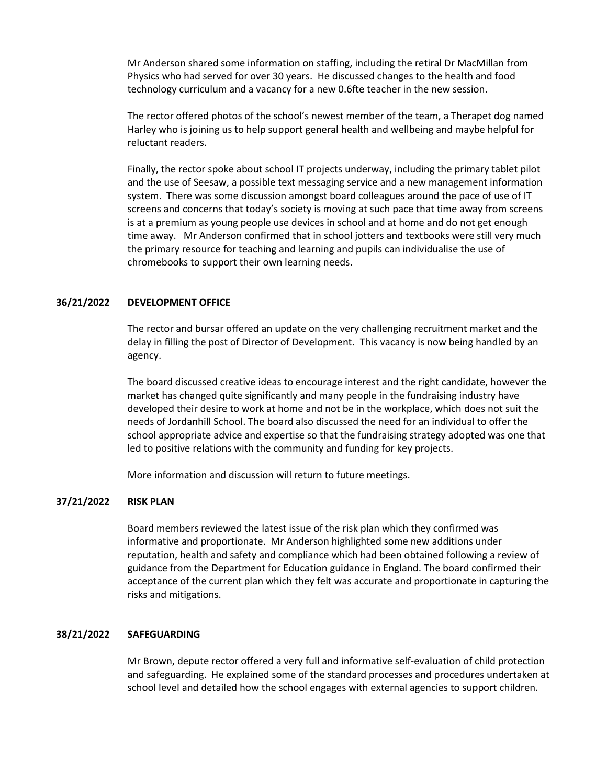Mr Anderson shared some information on staffing, including the retiral Dr MacMillan from Physics who had served for over 30 years. He discussed changes to the health and food technology curriculum and a vacancy for a new 0.6fte teacher in the new session.

The rector offered photos of the school's newest member of the team, a Therapet dog named Harley who is joining us to help support general health and wellbeing and maybe helpful for reluctant readers.

Finally, the rector spoke about school IT projects underway, including the primary tablet pilot and the use of Seesaw, a possible text messaging service and a new management information system. There was some discussion amongst board colleagues around the pace of use of IT screens and concerns that today's society is moving at such pace that time away from screens is at a premium as young people use devices in school and at home and do not get enough time away. Mr Anderson confirmed that in school jotters and textbooks were still very much the primary resource for teaching and learning and pupils can individualise the use of chromebooks to support their own learning needs.

## **36/21/2022 DEVELOPMENT OFFICE**

The rector and bursar offered an update on the very challenging recruitment market and the delay in filling the post of Director of Development. This vacancy is now being handled by an agency.

The board discussed creative ideas to encourage interest and the right candidate, however the market has changed quite significantly and many people in the fundraising industry have developed their desire to work at home and not be in the workplace, which does not suit the needs of Jordanhill School. The board also discussed the need for an individual to offer the school appropriate advice and expertise so that the fundraising strategy adopted was one that led to positive relations with the community and funding for key projects.

More information and discussion will return to future meetings.

## **37/21/2022 RISK PLAN**

Board members reviewed the latest issue of the risk plan which they confirmed was informative and proportionate. Mr Anderson highlighted some new additions under reputation, health and safety and compliance which had been obtained following a review of guidance from the Department for Education guidance in England. The board confirmed their acceptance of the current plan which they felt was accurate and proportionate in capturing the risks and mitigations.

## **38/21/2022 SAFEGUARDING**

Mr Brown, depute rector offered a very full and informative self-evaluation of child protection and safeguarding. He explained some of the standard processes and procedures undertaken at school level and detailed how the school engages with external agencies to support children.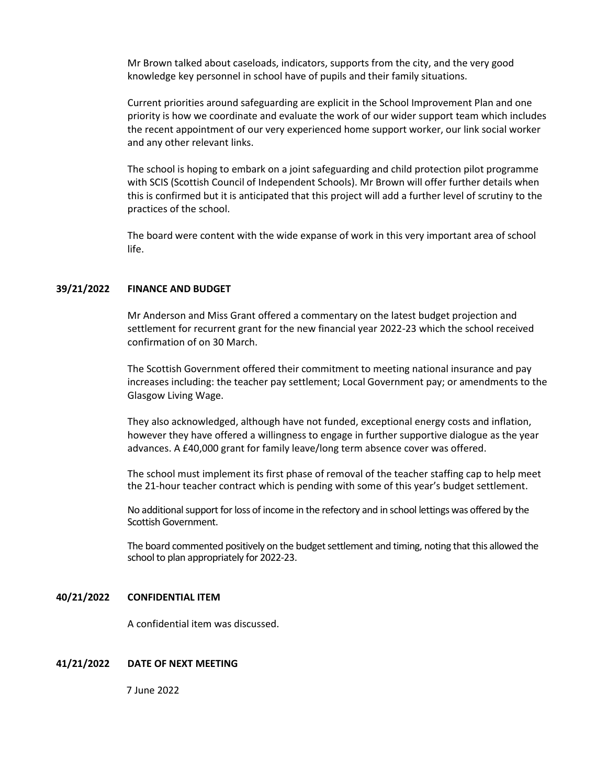Mr Brown talked about caseloads, indicators, supports from the city, and the very good knowledge key personnel in school have of pupils and their family situations.

Current priorities around safeguarding are explicit in the School Improvement Plan and one priority is how we coordinate and evaluate the work of our wider support team which includes the recent appointment of our very experienced home support worker, our link social worker and any other relevant links.

The school is hoping to embark on a joint safeguarding and child protection pilot programme with SCIS (Scottish Council of Independent Schools). Mr Brown will offer further details when this is confirmed but it is anticipated that this project will add a further level of scrutiny to the practices of the school.

The board were content with the wide expanse of work in this very important area of school life.

## **39/21/2022 FINANCE AND BUDGET**

Mr Anderson and Miss Grant offered a commentary on the latest budget projection and settlement for recurrent grant for the new financial year 2022-23 which the school received confirmation of on 30 March.

The Scottish Government offered their commitment to meeting national insurance and pay increases including: the teacher pay settlement; Local Government pay; or amendments to the Glasgow Living Wage.

They also acknowledged, although have not funded, exceptional energy costs and inflation, however they have offered a willingness to engage in further supportive dialogue as the year advances. A £40,000 grant for family leave/long term absence cover was offered.

The school must implement its first phase of removal of the teacher staffing cap to help meet the 21-hour teacher contract which is pending with some of this year's budget settlement.

No additional support forloss of income in the refectory and in school lettings was offered by the Scottish Government.

The board commented positively on the budget settlement and timing, noting that this allowed the school to plan appropriately for 2022-23.

#### **40/21/2022 CONFIDENTIAL ITEM**

A confidential item was discussed.

## **41/21/2022 DATE OF NEXT MEETING**

7 June 2022